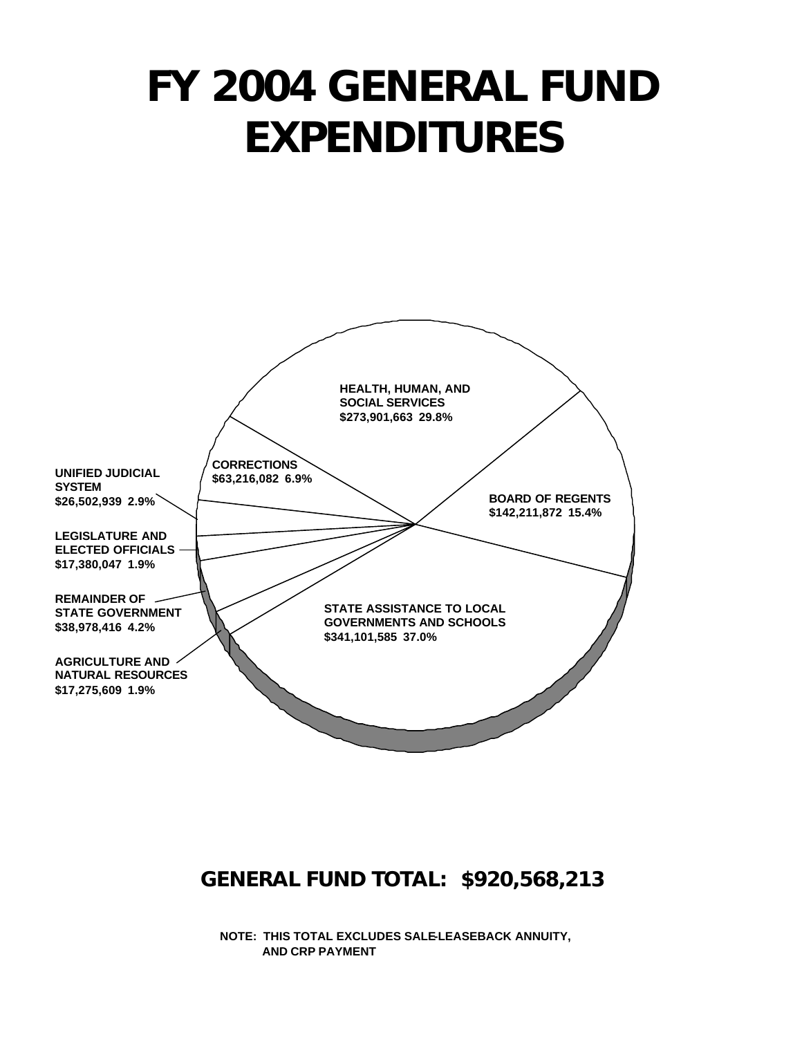# *FY 2004 GENERAL FUND EXPENDITURES*



## *GENERAL FUND TOTAL: \$920,568,213*

**NOTE: THIS TOTAL EXCLUDES SALE-LEASEBACK ANNUITY, AND CRP PAYMENT**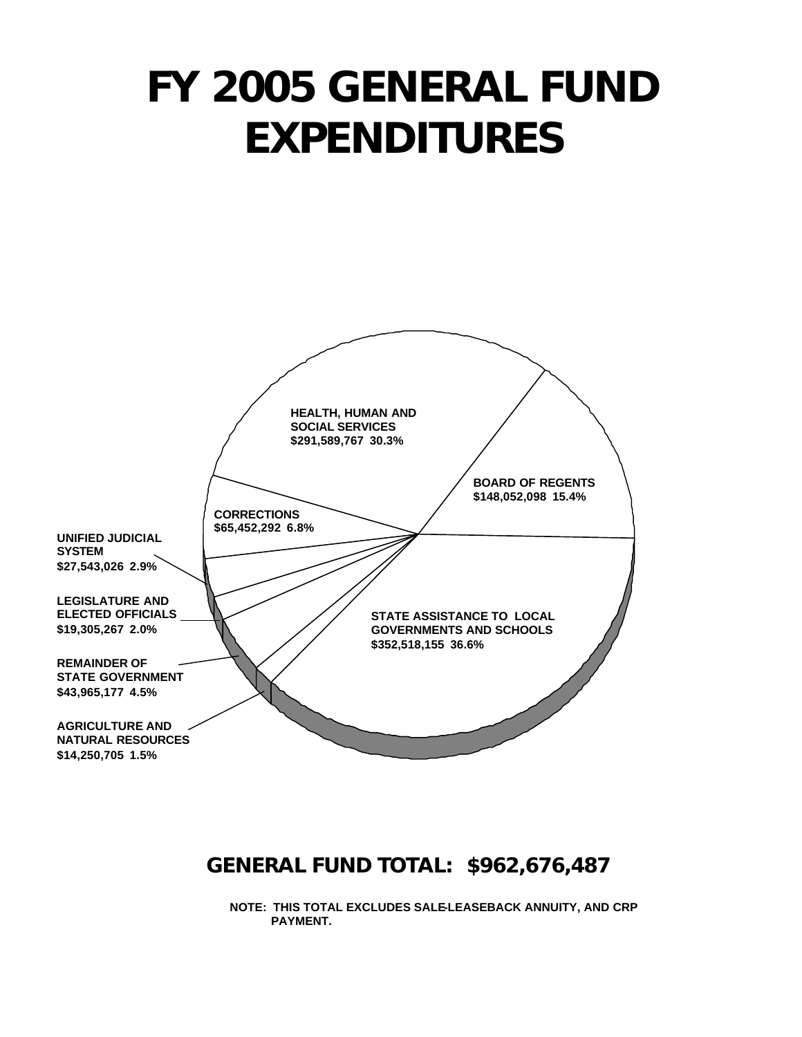# *FY 2005 GENERAL FUND EXPENDITURES*



#### *GENERAL FUND TOTAL: \$962,676,487*

**NOTE: THIS TOTAL EXCLUDES SALE-LEASEBACK ANNUITY, AND CRP PAYMENT.**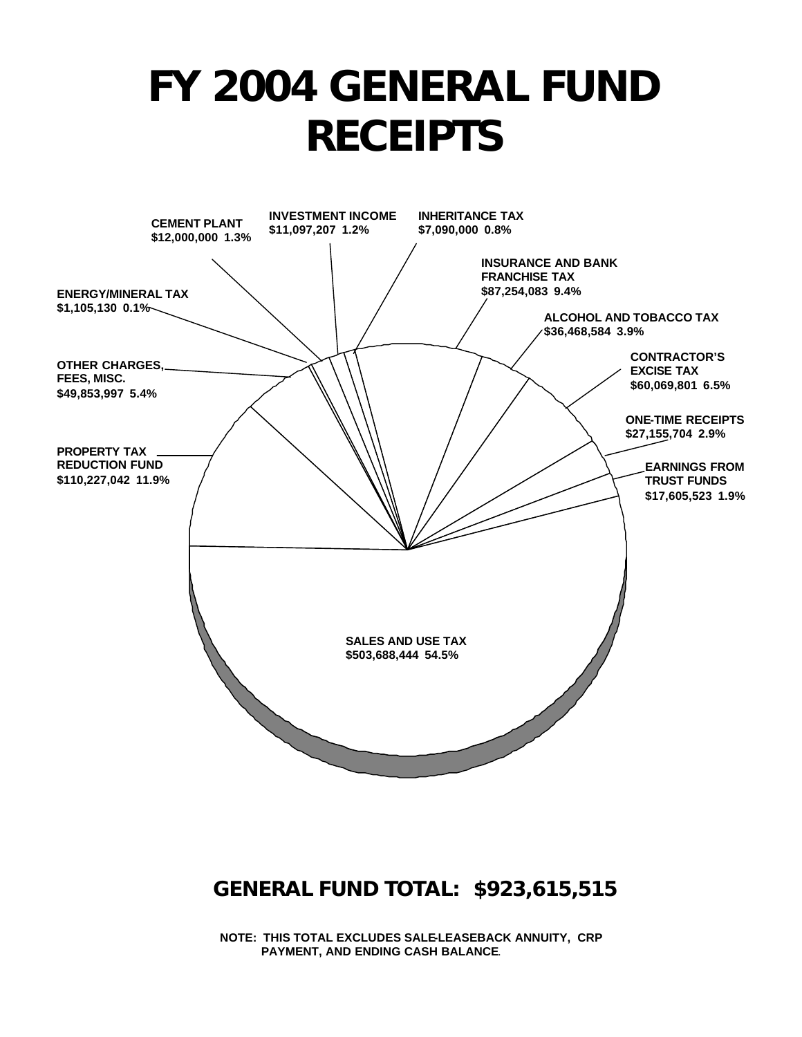# *FY 2004 GENERAL FUND RECEIPTS*



## *GENERAL FUND TOTAL: \$923,615,515*

**NOTE: THIS TOTAL EXCLUDES SALE-LEASEBACK ANNUITY, CRP PAYMENT, AND ENDING CASH BALANCE**.